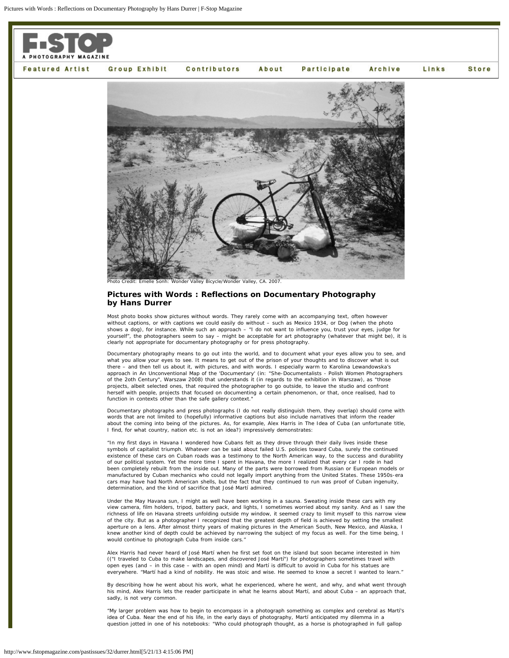

## **Pictures with Words : Reflections on Documentary Photography by Hans Durrer**

Most photo books show pictures without words. They rarely come with an accompanying text, often however without captions, or with captions we could easily do without – such as Mexico 1934, or Dog (when the photo shows a dog), for instance. While such an approach – "I do not want to influence you, trust your eyes, judge for yourself", the photographers seem to say – might be acceptable for art photography (whatever that might be), it is clearly not appropriate for documentary photography or for press photography.

Documentary photography means to go out into the world, and to document what your eyes allow you to see, and what you allow your eyes to see. It means to get out of the prison of your thoughts and to discover what is out there – and then tell us about it, with pictures, and with words. I especially warm to Karolina Lewandowska's approach in An Unconventional Map of the 'Documentary' (in: "She-Documentalists - Polish Women Photographers of the 2oth Century", Warszaw 2008) that understands it (in regards to the exhibition in Warszaw), as "those projects, albeit selected ones, that required the photographer to go outside, to leave the studio and confront herself with people, projects that focused on documenting a certain phenomenon, or that, once realised, had to function in contexts other than the safe gallery context.

Documentary photographs and press photographs (I do not really distinguish them, they overlap) should come with words that are not limited to (hopefully) informative captions but also include narratives that inform the reader about the coming into being of the pictures. As, for example, Alex Harris in The Idea of Cuba (an unfortunate title, I find, for what country, nation etc. is not an idea?) impressively demonstrates:

"In my first days in Havana I wondered how Cubans felt as they drove through their daily lives inside these symbols of capitalist triumph. Whatever can be said about failed U.S. policies toward Cuba, surely the continued existence of these cars on Cuban roads was a testimony to the North American way, to the success and durability of our political system. Yet the more time I spent in Havana, the more I realized that every car I rode in had been completely rebuilt from the inside out. Many of the parts were borrowed from Russian or European models or manufactured by Cuban mechanics who could not legally import anything from the United States. These 1950s-era cars may have had North American shells, but the fact that they continued to run was proof of Cuban ingenuity, determination, and the kind of sacrifice that José Martí admired.

Under the May Havana sun, I might as well have been working in a sauna. Sweating inside these cars with my view camera, film holders, tripod, battery pack, and lights, I sometimes worried about my sanity. And as I saw the richness of life on Havana streets unfolding outside my window, it seemed crazy to limit myself to this narrow view<br>of the city. But as a photographer I recognized that the greatest depth of field is achieved by setting th aperture on a lens. After almost thirty years of making pictures in the American South, New Mexico, and Alaska, I knew another kind of depth could be achieved by narrowing the subject of my focus as well. For the time being, I would continue to photograph Cuba from inside cars."

Alex Harris had never heard of José Martí when he first set foot on the island but soon became interested in him (("I traveled to Cuba to make landscapes, and discovered José Martí") for photographers sometimes travel with open eyes (and – in this case – with an open mind) and Martí is difficult to avoid in Cuba for his statues are everywhere. "Martí had a kind of nobility. He was stoic and wise. He seemed to know a secret I wanted to learn."

By describing how he went about his work, what he experienced, where he went, and why, and what went through his mind, Alex Harris lets the reader participate in what he learns about Martí, and about Cuba – an approach that, sadly, is not very common.

"My larger problem was how to begin to encompass in a photograph something as complex and cerebral as Martí's idea of Cuba. Near the end of his life, in the early days of photography, Martí anticipated my dilemma in a question jotted in one of his notebooks: "Who could photograph thought, as a horse is photographed in full gallop